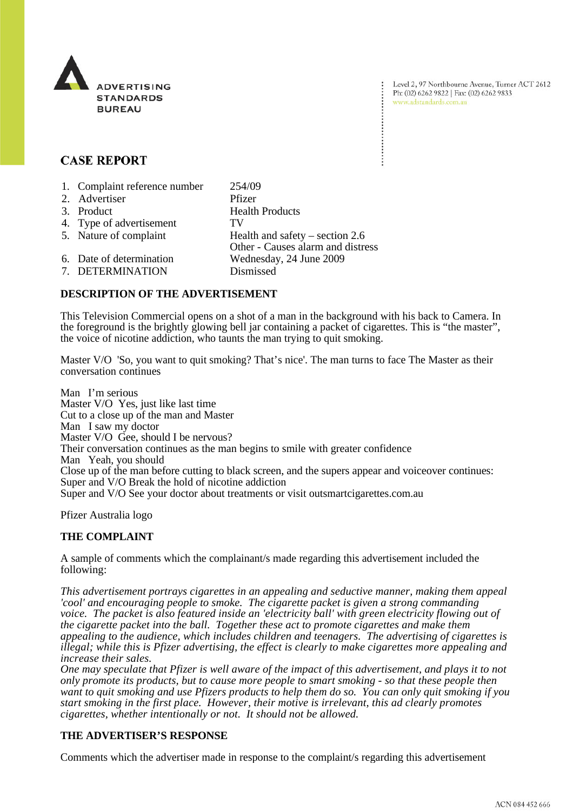

# **CASE REPORT**

| 1. Complaint reference number | 254/09                                                                 |
|-------------------------------|------------------------------------------------------------------------|
| 2. Advertiser                 | Pfizer                                                                 |
| 3. Product                    | <b>Health Products</b>                                                 |
| 4. Type of advertisement      | TV                                                                     |
| 5. Nature of complaint        | Health and safety $-$ section 2.6<br>Other - Causes alarm and distress |
| 6. Date of determination      | Wednesday, 24 June 2009                                                |
| 7. DETERMINATION              | Dismissed                                                              |

## **DESCRIPTION OF THE ADVERTISEMENT**

This Television Commercial opens on a shot of a man in the background with his back to Camera. In the foreground is the brightly glowing bell jar containing a packet of cigarettes. This is "the master", the voice of nicotine addiction, who taunts the man trying to quit smoking.

Master V/O 'So, you want to quit smoking? That's nice'. The man turns to face The Master as their conversation continues

Man I'm serious Master V/O Yes, just like last time Cut to a close up of the man and Master Man I saw my doctor Master V/O Gee, should I be nervous? Their conversation continues as the man begins to smile with greater confidence Man Yeah, you should Close up of the man before cutting to black screen, and the supers appear and voiceover continues: Super and V/O Break the hold of nicotine addiction Super and V/O See your doctor about treatments or visit outsmartcigarettes.com.au

Pfizer Australia logo

### **THE COMPLAINT**

A sample of comments which the complainant/s made regarding this advertisement included the following:

*This advertisement portrays cigarettes in an appealing and seductive manner, making them appeal 'cool' and encouraging people to smoke. The cigarette packet is given a strong commanding voice. The packet is also featured inside an 'electricity ball' with green electricity flowing out of the cigarette packet into the ball. Together these act to promote cigarettes and make them appealing to the audience, which includes children and teenagers. The advertising of cigarettes is illegal; while this is Pfizer advertising, the effect is clearly to make cigarettes more appealing and increase their sales.*

*One may speculate that Pfizer is well aware of the impact of this advertisement, and plays it to not only promote its products, but to cause more people to smart smoking - so that these people then want to quit smoking and use Pfizers products to help them do so. You can only quit smoking if you start smoking in the first place. However, their motive is irrelevant, this ad clearly promotes cigarettes, whether intentionally or not. It should not be allowed.*

### **THE ADVERTISER'S RESPONSE**

Comments which the advertiser made in response to the complaint/s regarding this advertisement